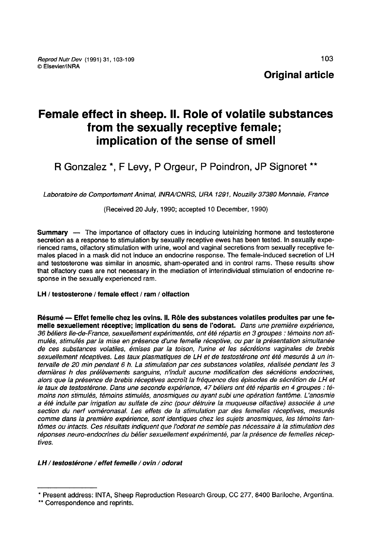# Female effect in sheep. II. Role of volatile substances from the sexually receptive female; implication of the sense of smell

R Gonzalez \*, F Levy, P Orgeur, P Poindron, JP Signoret \*\*

Laboratoire de Comportement Animal, INRA/CNRS, URA 1291, Nouzilly 37380 Monnaie, France

(Received 20 July, 1990; accepted 10 December, 1990)

Summary ― The importance of olfactory cues in inducing luteinizing hormone and testosterone secretion as a response to stimulation by sexually receptive ewes has been tested. In sexually experienced rams, olfactory stimulation with urine, wool and vaginal secretions from sexually receptive females placed in a mask did not induce an endocrine response. The female-induced secretion of LH and testosterone was similar in anosmic, sham-operated and in control rams. These results show that olfactory cues are not necessary in the mediation of interindividual stimulation of endocrine response in the sexually experienced ram.

## LH / testosterone / female effect / ram / olfaction

Résumé ― Effet femelle chez les ovins. Il. Rôle des substances volatiles produites par une femelle sexuellement réceptive; implication du sens de l'odorat. Dans une première expérience, 36 béliers lie-de-France, sexuellement expérimentés, ont été répartis en 3 groupes : témoins non stimulés, stimulés par la mise en présence d'une femelle réceptive, ou par la présentation simultanée de ces substances volatiles, émises par la toison, l'urine et les sécrétions vaginales de brebis sexuellement réceptives. Les taux plasmatiques de LH et de testostérone ont été mesurés à un intervalle de 20 min pendant 6 h. La stimulation par ces substances volatiles, réalisée pendant les 3 dernières h des prélèvements sanguins, n'induit aucune modification des sécrétions endocrines, alors que la présence de brebis réceptives accroît la fréquence des épisodes de sécrétion de LH et le taux de testostérone. Dans une seconde expérience, 47 béliers ont été répartis en 4 groupes : témoins non stimulés, témoins stimulés, anosmiques ou ayant subi une opération fantôme. L'anosmie a été induite par irrigation au sulfate de zinc (pour détruire la muqueuse olfactive) associée à une section du nerf voméronasal. Les effets de la stimulation par des femelles réceptives, mesurés comme dans la première expérience, sont identiques chez les sujets anosmiques, les témoins fantômes ou intacts. Ces résultats indiquent que l'odorat ne semble pas nécessaire à la stimulation des réponses neuro-endocrines du bélier sexuellement expérimenté, par la présence de femelles réceptives.

## LH / testostérone / effet femelle / ovin / odorat

<sup>\*</sup> Present address: INTA, Sheep Reproduction Research Group, CC 277, 8400 Bariloche, Argentina.<br>\*\* Correspondence and reprints.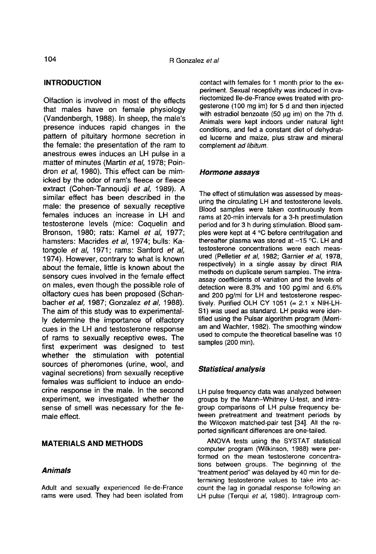#### INTRODUCTION

Olfaction is involved in most of the effects that males have on female physiology (Vandenbergh, 1988). In sheep, the male's presence induces rapid changes in the pattern of pituitary hormone secretion in the female: the presentation of the ram to anestrous ewes induces an LH pulse in a matter of minutes (Martin et al. 1978; Poindron et al, 1980). This effect can be mimicked by the odor of ram's fleece or fleece extract (Cohen-Tannoudji et al, 1989). A similar effect has been described in the male: the presence of sexually receptive females induces an increase in LH and testosterone levels (mice: Coquelin and Bronson, 1980; rats: Kamel et al, 1977; hamsters: Macrides et al, 1974; bulls: Katongole et al, 1971; rams: Sanford et al, 1974). However, contrary to what is known about the female, little is known about the sensory cues involved in the female effect on males, even though the possible role of olfactory cues has been proposed (Schanbacher et al, 1987; Gonzalez et al, 1988). The aim of this study was to experimentally determine the importance of olfactory cues in the LH and testosterone response of rams to sexually receptive ewes. The first experiment was designed to test whether the stimulation with potential sources of pheromones (urine, wool, and vaginal secretions) from sexually receptive females was sufficient to induce an endocrine response in the male. In the second experiment, we investigated whether the sense of smell was necessary for the female effect.

#### MATERIALS AND METHODS

#### Animals

Adult and sexually experienced Ile-de-France rams were used. They had been isolated from contact with females for 1 month prior to the experiment. Sexual receptivity was induced in ovariectomized Ile-de-France ewes treated with progesterone (100 mg im) for 5 d and then injected with estradiol benzoate (50  $\mu$ g im) on the 7th d. Animals were kept indoors under natural light conditions, and fed a constant diet of dehydrated lucerne and maize, plus straw and mineral complement ad libitum.

#### Hormone assays

The effect of stimulation was assessed by measuring the circulating LH and testosterone levels. Blood samples were taken continuously from rams at 20-min intervals for a 3-h prestimulation period and for 3 h during stimulation. Blood samples were kept at 4 °C before centrifugation and thereafter plasma was stored at  $-15$  °C. LH and testosterone concentrations were each measured (Pelletier et al, 1982; Garnier et al, 1978, respectively) in a single assay by direct RIA methods on duplicate serum samples. The intraassay coefficients of variation and the levels of detection were 8.3% and 100 pg/ml and 6.6% and 200 pg/ml for LH and testosterone respectively. Purified OLH CY 1051 ( $= 2.1 \times$  NIH-LH-S1) was used as standard. LH peaks were iden-<br>tified using the Pulsar algorithm program (Merriam and Wachter, 1982). The smoothing window used to compute the theoretical baseline was 10 samples (200 min).

## Statistical analysis

LH pulse frequency data was analyzed between groups by the Mann-Whitney U-test, and intragroup comparisons of LH pulse frequency between pretreatment and treatment periods by the Wilcoxon matched-pair test [34]. All the reported significant differences are one-tailed.

ANOVA tests using the SYSTAT statistical computer program (Wilkinson, 1988) were performed on the mean testosterone concentrations between groups. The beginning of the "treatment period" was delayed by 40 min for determining testosterone values to take into account the lag in gonadal response following an LH pulse (Terqui et al, 1980). Intragroup com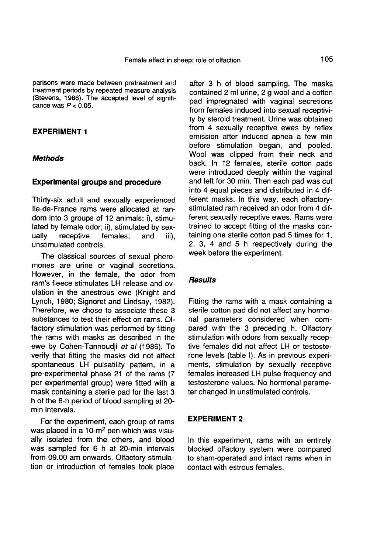parisons were made between pretreatment and treatment periods by repeated measure analysis (Stevens, 1986). The accepted level of significance was  $P < 0.05$ .

### EXPERIMENT 1

#### **Methods**

#### Experimental groups and procedure

Thirty-six adult and sexually experienced Ile-de-France rams were allocated at random into 3 groups of 12 animals: i), stimulated by female odor; ii), stimulated by sex-<br>ually receptive females: and iii). receptive unstimulated controls.

The classical sources of sexual phero mones are urine or vaginal secretions. However, in the female, the odor from ram's fleece stimulates LH release and ovulation in the anestrous ewe (Knight and Lynch, 1980; Signoret and Lindsay, 1982). Therefore, we chose to associate these 3 substances to test their effect on rams. Olfactory stimulation was performed by fitting the rams with masks as described in the ewe by Cohen-Tannoudji et al (1986). To verify that fitting the masks did not affect spontaneous LH pulsatility pattern, in a pre-experimental phase 21 of the rams (7 per experimental group) were fitted with a mask containing a sterile pad for the last 3 h of the 6-h period of blood sampling at 20 min intervals.

For the experiment, each group of rams was placed in a 10-m<sup>2</sup> pen which was visually isolated from the others, and blood was sampled for 6 h at 20-min intervals from 09.00 am onwards. Olfactory stimulation or introduction of females took place

after 3 h of blood sampling. The masks contained 2 ml urine, 2 g wool and a cotton pad impregnated with vaginal secretions from females induced into sexual receptivity by steroid treatment. Urine was obtained from 4 sexually receptive ewes by reflex emission after induced apnea a few min before stimulation began, and pooled. Wool was clipped from their neck and back. In 12 females, sterile cotton pads were introduced deeply within the vaginal and left for 30 min. Then each pad was cut into 4 equal pieces and distributed in 4 different masks. In this way, each olfactorystimulated ram received an odor from 4 different sexually receptive ewes. Rams were trained to accept fitting of the masks containing one sterile cotton pad 5 times for 1, 2, 3, 4 and 5 h respectively during the week before the experiment.

#### **Results**

Fitting the rams with a mask containing a sterile cotton pad did not affect any hormonal parameters considered when compared with the 3 preceding h. Olfactory stimulation with odors from sexually receptive females did not affect LH or testosterone levels (table I). As in previous experiments, stimulation by sexually receptive females increased LH pulse frequency and testosterone values. No hormonal parameter changed in unstimulated controls.

#### EXPERIMENT 2

In this experiment, rams with an entirely blocked olfactory system were compared to sham-operated and intact rams when in contact with estrous females.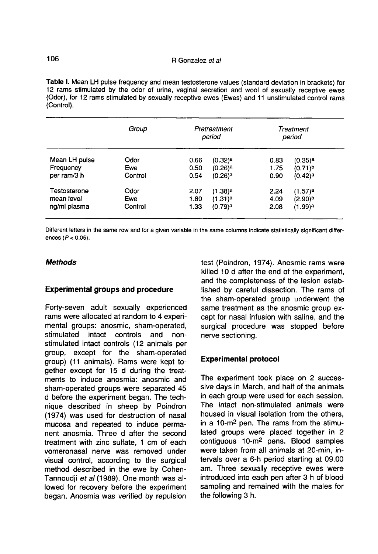Table I. Mean LH pulse frequency and mean testosterone values (standard deviation in brackets) for 12 rams stimulated by the odor of urine, vaginal secretion and wool of sexually receptive ewes (Odor), for 12 rams stimulated by sexually receptive ewes (Ewes) and 11 unstimulated control rams (Control).

|                          | Group          | Pretreatment<br>period |                       | Treatment<br>period |                     |
|--------------------------|----------------|------------------------|-----------------------|---------------------|---------------------|
| Mean LH pulse            | Odor           | 0.66                   | $(0.32)$ a            | 0.83                | (0.35) <sup>3</sup> |
| Frequency<br>per ram/3 h | Ewe<br>Control | 0.50<br>0.54           | $(0.26)$ <sup>a</sup> | 1.75                | $(0.71)^b$          |
|                          |                |                        | $(0.26)$ <sup>a</sup> | 0.90                | (0.42) <sup>a</sup> |
| Testosterone             | Odor           | 2.07                   | (1.38) <sup>a</sup>   | 2.24                | $(1.57)^a$          |
| mean level               | Ewe            | 1.80                   | $(1.31)^a$            | 4.09                | (2.90) <sup>b</sup> |
| ng/ml plasma             | Control        | 1.33                   | (0.79)a               | 2.08                | (1.99)a             |

Different letters in the same row and for a given variable in the same columns indicate statistically significant differences  $(P < 0.05)$ .

### **Methods**

#### Experimental groups and procedure

Forty-seven adult sexually experienced rams were allocated at random to 4 experimental groups: anosmic, sham-operated, stimulated intact controls and nonstimulated intact controls (12 animals per group, except for the sham-operated group) (11 animals). Rams were kept together except for 15 d during the treatments to induce anosmia: anosmic and sham-operated groups were separated 45 d before the experiment began. The technique described in sheep by Poindron (1974) was used for destruction of nasal mucosa and repeated to induce permanent anosmia. Three d after the second treatment with zinc sulfate, 1 cm of each vomeronasal nerve was removed under visual control, according to the surgical method described in the ewe by Cohen-Tannoudji et al (1989). One month was allowed for recovery before the experiment began. Anosmia was verified by repulsion

test (Poindron, 1974). Anosmic rams were killed 10 d after the end of the experiment, and the completeness of the lesion established by careful dissection. The rams of the sham-operated group underwent the same treatment as the anosmic group except for nasal infusion with saline, and the surgical procedure was stopped before nerve sectioning.

## Experimental protocol

The experiment took place on 2 successive days in March, and half of the animals in each group were used for each session. The intact non-stimulated animals were housed in visual isolation from the others, The intact non-stimulated animals were<br>housed in visual isolation from the others,<br>in a 10-m<sup>2</sup> pen. The rams from the stimu-<br>lated groups were placed together in 2 lated groups were placed together in 2<br>contiquous 10-m<sup>2</sup> pens. Blood samples in a 10-m<sup>2</sup> pen. The rams from the stimu-<br>lated groups were placed together in 2<br>contiguous 10-m<sup>2</sup> pens. Blood samples<br>were taken from all animals at 20-min, intervals over a 6-h period starting at 09.00 am. Three sexually receptive ewes were introduced into each pen after 3 h of blood sampling and remained with the males for the following 3 h.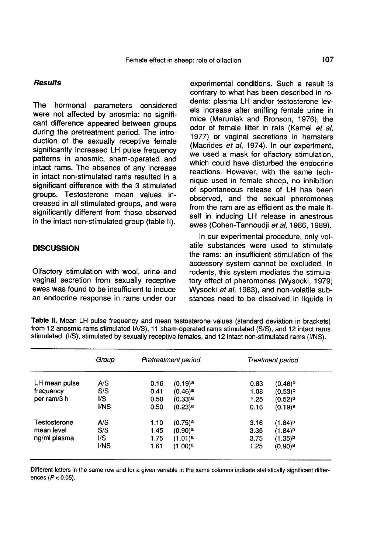### **Results**

The hormonal parameters considered were not affected by anosmia: no significant difference appeared between groups during the pretreatment period. The introduction of the sexually receptive female significantly increased LH pulse frequency patterns in anosmic, sham-operated and intact rams. The absence of any increase in intact non-stimulated rams resulted in a significant difference with the 3 stimulated groups. Testosterone mean values increased in all stimulated groups, and were significantly different from those observed in the intact non-stimulated group (table II).

## **DISCUSSION**

Olfactory stimulation with wool, urine and vaginal secretion from sexually receptive ewes was found to be insufficient to induce an endocrine response in rams under our experimental conditions. Such a result is contrary to what has been described in rodents: plasma LH and/or testosterone levels increase after sniffing female urine in mice (Maruniak and Bronson, 1976), the odor of female litter in rats (Kamel et al, 1977) or vaginal secretions in hamsters<br>(Macrides et al, 1974). In our experiment, we used a mask for olfactory stimulation. which could have disturbed the endocrine reactions. However, with the same technique used in female sheep, no inhibition of spontaneous release of LH has been observed, and the sexual pheromones from the ram are as efficient as the male itself in inducing LH release in anestrous ewes (Cohen-Tannoudji et al, 1986, 1989).

In our experimental procedure, only volatile substances were used to stimulate the rams: an insufficient stimulation of the accessory system cannot be excluded. In rodents, this system mediates the stimulatory effect of pheromones (Wysocki, 1979; Wysocki et al, 1983), and non-volatile substances need to be dissolved in liquids in

| Table II. Mean LH pulse frequency and mean testosterone values (standard deviation in brackets)                                                                                                            |  |
|------------------------------------------------------------------------------------------------------------------------------------------------------------------------------------------------------------|--|
| from 12 anosmic rams stimulated IA/S), 11 sham-operated rams stimulated (S/S), and 12 intact rams<br>stimulated (I/S), stimulated by sexually receptive females, and 12 intact non-stimulated rams (I/NS). |  |

|               | Group | Pretreatment period |                       | Treatment period |                       |
|---------------|-------|---------------------|-----------------------|------------------|-----------------------|
| LH mean pulse | A/S   | 0.16                | $(0.19)$ <sup>a</sup> | 0.83             | $(0.46)^b$            |
| frequency     | S/S   | 0.41                | $(0.46)$ <sup>a</sup> | 1.08             | $(0.53)^b$            |
| per ram/3 h   | I/S   | 0.50                | $(0.33)$ <sup>a</sup> | 1.25             | $(0.52)^{b}$          |
|               | I/NS  | 0.50                | $(0.23)$ <sup>a</sup> | 0.16             | $(0.19)$ a            |
| Testosterone  | A/S   | 1.10                | $(0.75)$ <sup>a</sup> | 3.16             | $(1.84)^{b}$          |
| mean level    | S/S   | 1.45                | $(0.90)$ <sup>a</sup> | 3.35             | $(1.84)^{b}$          |
| ng/ml plasma  | VS    | 1.75                | $(1.01)^a$            | 3.75             | $(1.35)^{b}$          |
|               | I/NS  | 1.61                | $(1.00)^a$            | 1.25             | $(0.90)$ <sup>a</sup> |
|               |       |                     |                       |                  |                       |

Different letters in the same row and for a given variable in the same columns indicate statistically significant differences  $(P < 0.05)$ .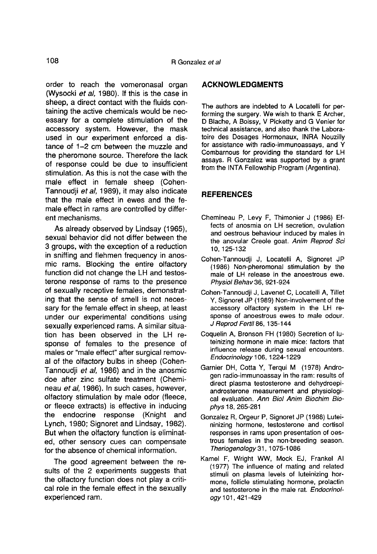order to reach the vomeronasal organ (Wysocki et al, 1980). If this is the case in sheep, a direct contact with the fluids containing the active chemicals would be necessary for a complete stimulation of the accessory system. However, the mask used in our experiment enforced a distance of 1-2 cm between the muzzle and the pheromone source. Therefore the lack of response could be due to insufficient stimulation. As this is not the case with the male effect in female sheep (Cohen-Tannoudji et al, 1989), it may also indicate that the male effect in ewes and the female effect in rams are controlled by different mechanisms.

As already observed by Lindsay (1965), sexual behavior did not differ between the 3 groups, with the exception of a reduction in sniffing and flehmen frequency in anosmic rams. Blocking the entire olfactory function did not change the LH and testosterone response of rams to the presence of sexually receptive females, demonstrating that the sense of smell is not necessary for the female effect in sheep, at least under our experimental conditions using sexually experienced rams. A similar situation has been observed in the LH response of females to the presence of males or "male effect" after surgical removal of the olfactory bulbs in sheep (Cohen-Tannoudji et al, 1986) and in the anosmic doe after zinc sulfate treatment (Chemi neau et al, 1986). In such cases, however, olfactory stimulation by male odor (fleece, or fleece extracts) is effective in inducing the endocrine response (Knight and Lynch, 1980; Signoret and Lindsay, 1982). But when the olfactory function is eliminated, other sensory cues can compensate for the absence of chemical information.

The good agreement between the results of the 2 experiments suggests that the olfactory function does not play a critical role in the female effect in the sexually experienced ram.

## ACKNOWLEDGMENTS

The authors are indebted to A Locatelli for per-<br>forming the surgery. We wish to thank E Archer. D Blache, A Boissy, V Picketty and G Venier for technical assistance, and also thank the Laboratoire des Dosages Hormonaux, INRA Nouzilly for assistance with radio-immunoassays, and Y Combarnous for providing the standard for LH assays. R Gonzalez was supported by a grant from the INTA Fellowship Program (Argentina).

## **REFERENCES**

- Chemineau P, Levy F, Thimonier J (1986) Effects of anosmia on LH secretion, ovulation and oestrous behaviour induced by males in the anovular Creole goat. Anim Reprod Sci 10, 125-132
- Cohen-Tannoudji J, Locatelli A, Signoret JP (1986) Non-pheromonal stimulation by the male of LH release in the anoestrous ewe. Physiol Behav 36, 921-924
- Cohen-Tannoudji J, Lavenet C, Locatelli A, Tillet Y, Signoret JP (1989) Non-involvement of the accessory olfactory system in the LH response of anoestrous ewes to male odour. J Reprod Fertil 86, 135-144
- Coquelin A, Bronson FH (1980) Secretion of luteinizing hormone in male mice: factors that influence release during sexual encounters. Endocrinology 106, 1224-1229
- Garnier DH, Cotta Y, Terqui M (1978) Androgen radio-immunoassay in the ram: results of direct plasma testosterone and dehydroepiandrosterone measurement and physiological evaluation. Ann Biol Anim Biochim Biophys 18, 265-281
- Gonzalez R, Orgeur P, Signoret JP (1988) Luteininizing hormone, testosterone and cortisol responses in rams upon presentation of oestrous females in the non-breeding season. Theriogenology 31, 1075-1086
- Kamel F, Wright WW, Mock EJ, Frankel Al (1977) The influence of mating and related stimuli on plasma levels of luteinizing hormone, follicle stimulating hormone, prolactin and testosterone in the male rat. Endocrinology 101, 421-429